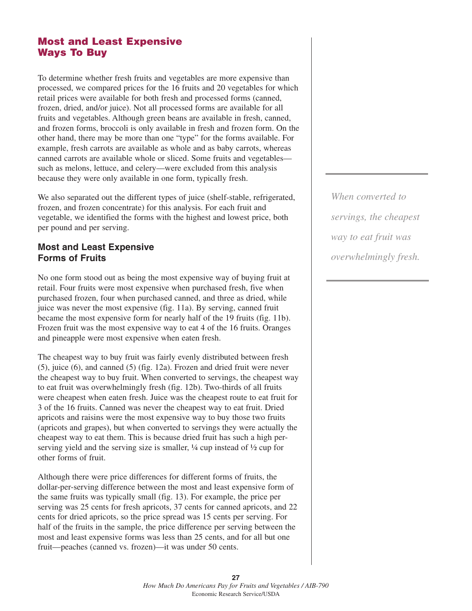# **Most and Least Expensive Ways To Buy**

To determine whether fresh fruits and vegetables are more expensive than processed, we compared prices for the 16 fruits and 20 vegetables for which retail prices were available for both fresh and processed forms (canned, frozen, dried, and/or juice). Not all processed forms are available for all fruits and vegetables. Although green beans are available in fresh, canned, and frozen forms, broccoli is only available in fresh and frozen form. On the other hand, there may be more than one "type" for the forms available. For example, fresh carrots are available as whole and as baby carrots, whereas canned carrots are available whole or sliced. Some fruits and vegetables such as melons, lettuce, and celery—were excluded from this analysis because they were only available in one form, typically fresh.

We also separated out the different types of juice (shelf-stable, refrigerated, frozen, and frozen concentrate) for this analysis. For each fruit and vegetable, we identified the forms with the highest and lowest price, both per pound and per serving.

### **Most and Least Expensive Forms of Fruits**

No one form stood out as being the most expensive way of buying fruit at retail. Four fruits were most expensive when purchased fresh, five when purchased frozen, four when purchased canned, and three as dried, while juice was never the most expensive (fig. 11a). By serving, canned fruit became the most expensive form for nearly half of the 19 fruits (fig. 11b). Frozen fruit was the most expensive way to eat 4 of the 16 fruits. Oranges and pineapple were most expensive when eaten fresh.

The cheapest way to buy fruit was fairly evenly distributed between fresh (5), juice (6), and canned (5) (fig. 12a). Frozen and dried fruit were never the cheapest way to buy fruit. When converted to servings, the cheapest way to eat fruit was overwhelmingly fresh (fig. 12b). Two-thirds of all fruits were cheapest when eaten fresh. Juice was the cheapest route to eat fruit for 3 of the 16 fruits. Canned was never the cheapest way to eat fruit. Dried apricots and raisins were the most expensive way to buy those two fruits (apricots and grapes), but when converted to servings they were actually the cheapest way to eat them. This is because dried fruit has such a high perserving yield and the serving size is smaller,  $\frac{1}{4}$  cup instead of  $\frac{1}{2}$  cup for other forms of fruit.

Although there were price differences for different forms of fruits, the dollar-per-serving difference between the most and least expensive form of the same fruits was typically small (fig. 13). For example, the price per serving was 25 cents for fresh apricots, 37 cents for canned apricots, and 22 cents for dried apricots, so the price spread was 15 cents per serving. For half of the fruits in the sample, the price difference per serving between the most and least expensive forms was less than 25 cents, and for all but one fruit—peaches (canned vs. frozen)—it was under 50 cents.

*When converted to servings, the cheapest way to eat fruit was overwhelmingly fresh.*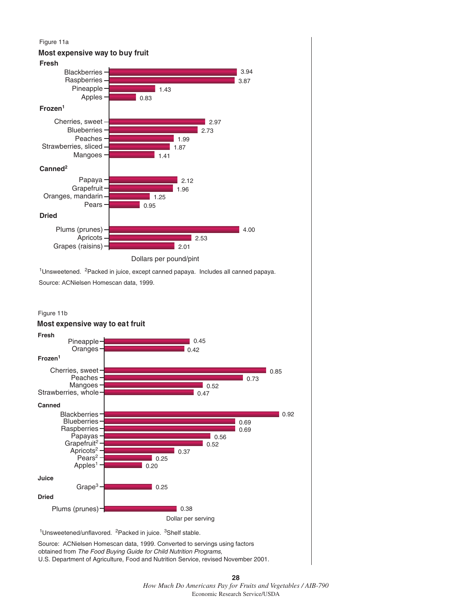#### Figure 11a

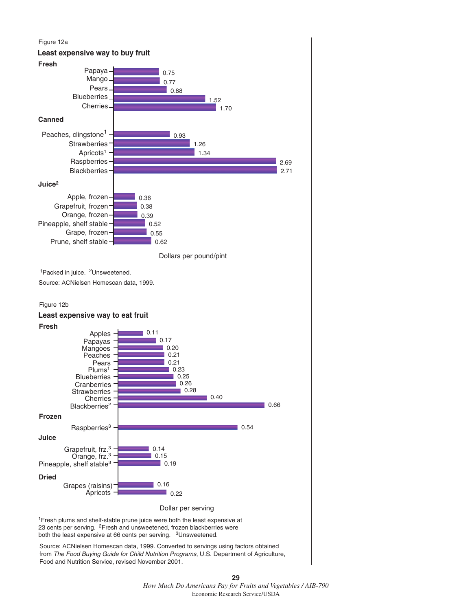

**29** *How Much Do Americans Pay for Fruits and Vegetables / AIB-790* Economic Research Service/USDA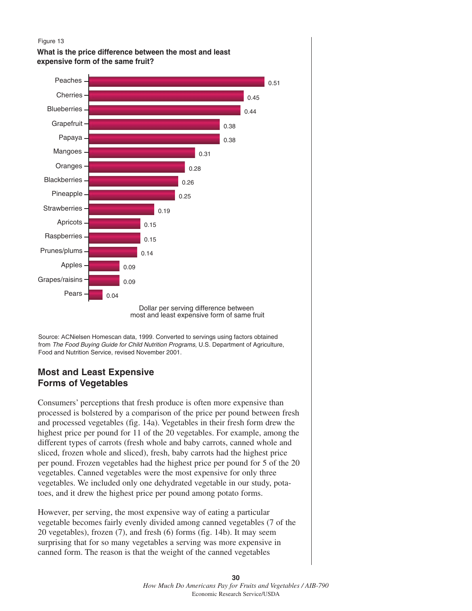

**What is the price difference between the most and least expensive form of the same fruit?**



most and least expensive form of same fruit

Source: ACNielsen Homescan data, 1999. Converted to servings using factors obtained from *The Food Buying Guide for Child Nutrition Programs*, U.S. Department of Agriculture, Food and Nutrition Service, revised November 2001.

## **Most and Least Expensive Forms of Vegetables**

Consumers' perceptions that fresh produce is often more expensive than processed is bolstered by a comparison of the price per pound between fresh and processed vegetables (fig. 14a). Vegetables in their fresh form drew the highest price per pound for 11 of the 20 vegetables. For example, among the different types of carrots (fresh whole and baby carrots, canned whole and sliced, frozen whole and sliced), fresh, baby carrots had the highest price per pound. Frozen vegetables had the highest price per pound for 5 of the 20 vegetables. Canned vegetables were the most expensive for only three vegetables. We included only one dehydrated vegetable in our study, potatoes, and it drew the highest price per pound among potato forms.

However, per serving, the most expensive way of eating a particular vegetable becomes fairly evenly divided among canned vegetables (7 of the 20 vegetables), frozen (7), and fresh (6) forms (fig. 14b). It may seem surprising that for so many vegetables a serving was more expensive in canned form. The reason is that the weight of the canned vegetables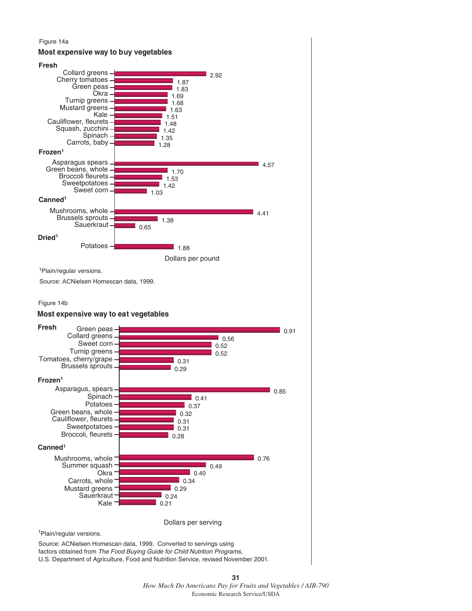### Figure 14a



U.S. Department of Agriculture, Food and Nutrition Service, revised November 2001.

**<sup>31</sup>** *How Much Do Americans Pay for Fruits and Vegetables / AIB-790* Economic Research Service/USDA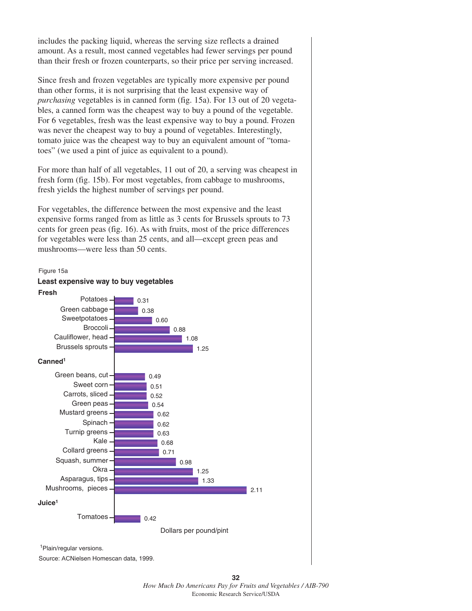includes the packing liquid, whereas the serving size reflects a drained amount. As a result, most canned vegetables had fewer servings per pound than their fresh or frozen counterparts, so their price per serving increased.

Since fresh and frozen vegetables are typically more expensive per pound than other forms, it is not surprising that the least expensive way of *purchasing* vegetables is in canned form (fig. 15a). For 13 out of 20 vegetables, a canned form was the cheapest way to buy a pound of the vegetable. For 6 vegetables, fresh was the least expensive way to buy a pound. Frozen was never the cheapest way to buy a pound of vegetables. Interestingly, tomato juice was the cheapest way to buy an equivalent amount of "tomatoes" (we used a pint of juice as equivalent to a pound).

For more than half of all vegetables, 11 out of 20, a serving was cheapest in fresh form (fig. 15b). For most vegetables, from cabbage to mushrooms, fresh yields the highest number of servings per pound.

For vegetables, the difference between the most expensive and the least expensive forms ranged from as little as 3 cents for Brussels sprouts to 73 cents for green peas (fig. 16). As with fruits, most of the price differences for vegetables were less than 25 cents, and all—except green peas and mushrooms—were less than 50 cents.



Source: ACNielsen Homescan data, 1999.